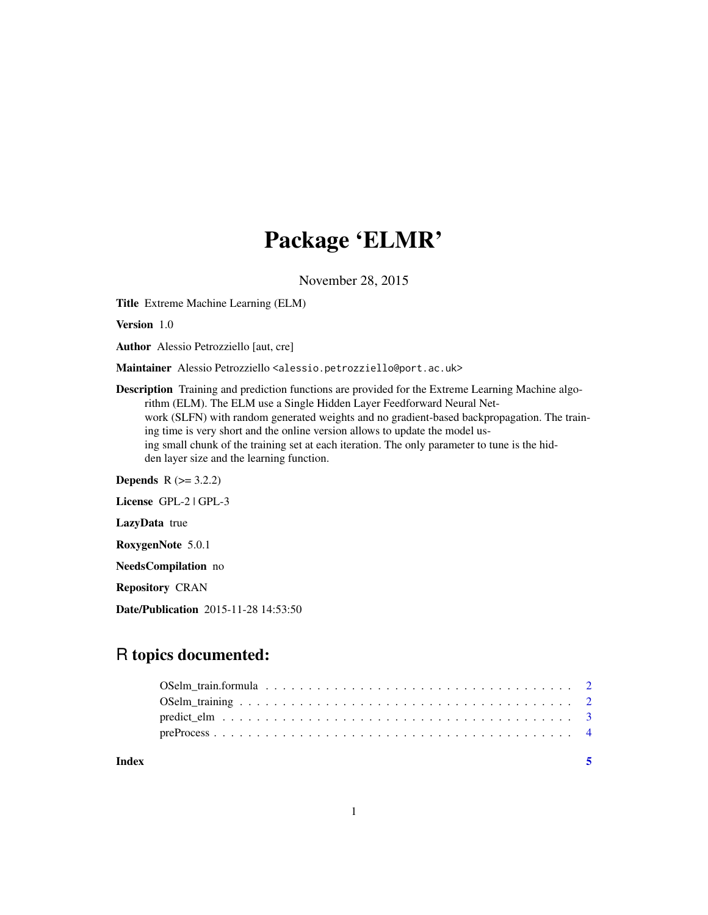## Package 'ELMR'

November 28, 2015

Title Extreme Machine Learning (ELM)

Version 1.0

Author Alessio Petrozziello [aut, cre]

Maintainer Alessio Petrozziello <alessio.petrozziello@port.ac.uk>

Description Training and prediction functions are provided for the Extreme Learning Machine algorithm (ELM). The ELM use a Single Hidden Layer Feedforward Neural Network (SLFN) with random generated weights and no gradient-based backpropagation. The training time is very short and the online version allows to update the model using small chunk of the training set at each iteration. The only parameter to tune is the hidden layer size and the learning function.

**Depends**  $R$  ( $> = 3.2.2$ )

License GPL-2 | GPL-3

LazyData true

RoxygenNote 5.0.1

NeedsCompilation no

Repository CRAN

Date/Publication 2015-11-28 14:53:50

### R topics documented:

| Index |  |
|-------|--|
|       |  |
|       |  |
|       |  |
|       |  |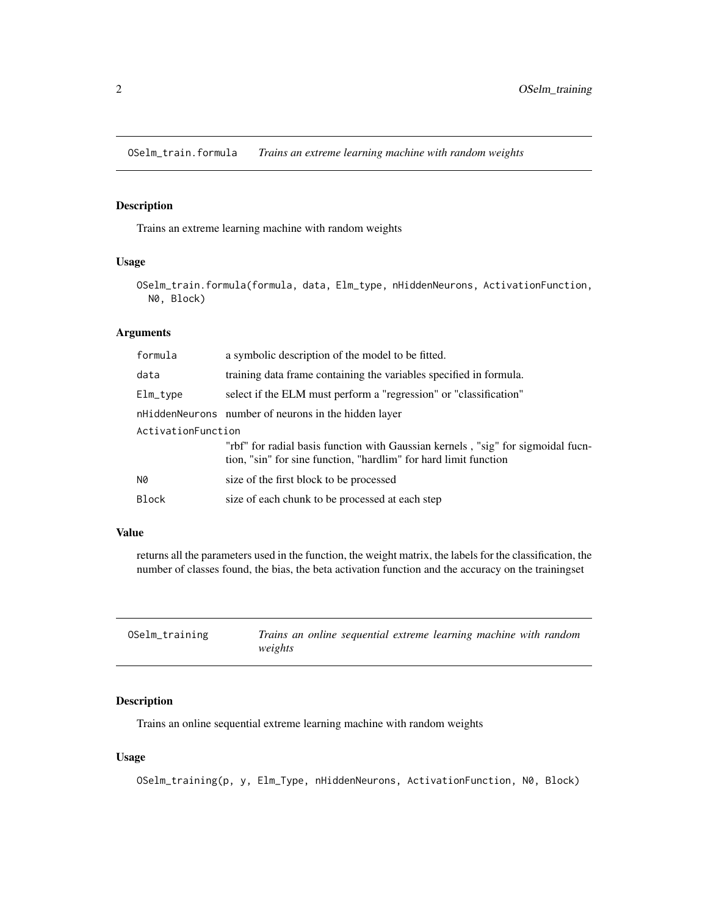<span id="page-1-0"></span>OSelm\_train.formula *Trains an extreme learning machine with random weights*

#### Description

Trains an extreme learning machine with random weights

#### Usage

OSelm\_train.formula(formula, data, Elm\_type, nHiddenNeurons, ActivationFunction, N0, Block)

#### Arguments

| formula            | a symbolic description of the model to be fitted.                                                                                                    |  |  |  |
|--------------------|------------------------------------------------------------------------------------------------------------------------------------------------------|--|--|--|
| data               | training data frame containing the variables specified in formula.                                                                                   |  |  |  |
| $Elm_{xype}$       | select if the ELM must perform a "regression" or "classification"                                                                                    |  |  |  |
|                    | nHiddenNeurons number of neurons in the hidden layer                                                                                                 |  |  |  |
| ActivationFunction |                                                                                                                                                      |  |  |  |
|                    | "rbf" for radial basis function with Gaussian kernels, "sig" for sigmoidal fucn-<br>tion, "sin" for sine function, "hardlim" for hard limit function |  |  |  |
| N0                 | size of the first block to be processed                                                                                                              |  |  |  |
| <b>Block</b>       | size of each chunk to be processed at each step                                                                                                      |  |  |  |

#### Value

returns all the parameters used in the function, the weight matrix, the labels for the classification, the number of classes found, the bias, the beta activation function and the accuracy on the trainingset

| OSelm_training | Trains an online sequential extreme learning machine with random |
|----------------|------------------------------------------------------------------|
|                | weights                                                          |

#### Description

Trains an online sequential extreme learning machine with random weights

#### Usage

OSelm\_training(p, y, Elm\_Type, nHiddenNeurons, ActivationFunction, N0, Block)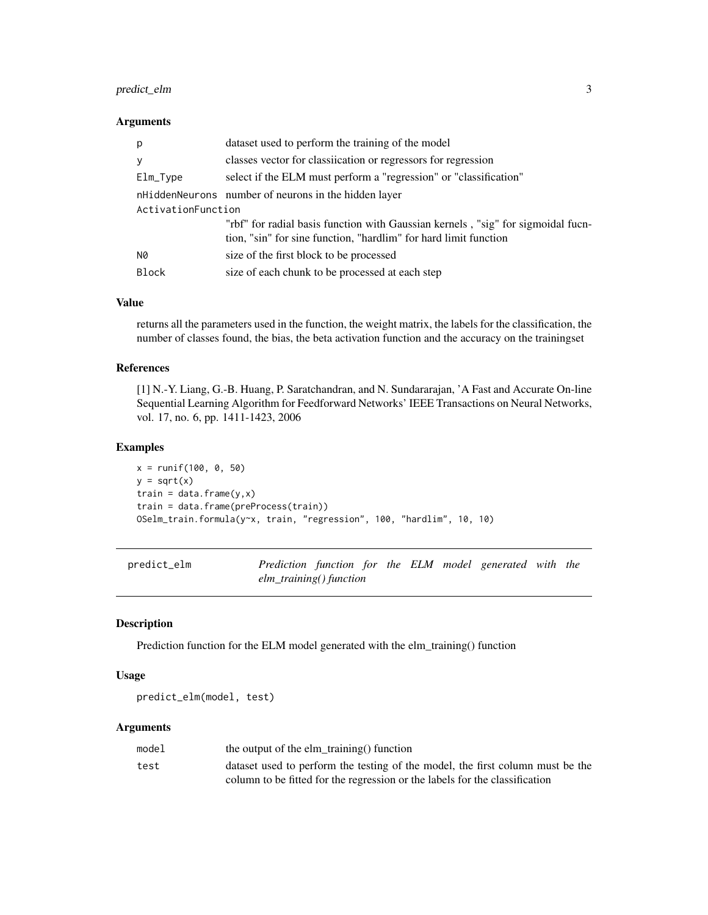#### <span id="page-2-0"></span>predict\_elm 3

#### Arguments

| p                  | dataset used to perform the training of the model                                                                                                    |  |  |  |
|--------------------|------------------------------------------------------------------------------------------------------------------------------------------------------|--|--|--|
| У                  | classes vector for classication or regressors for regression                                                                                         |  |  |  |
| Elm_Type           | select if the ELM must perform a "regression" or "classification"                                                                                    |  |  |  |
|                    | nHiddenNeurons number of neurons in the hidden layer                                                                                                 |  |  |  |
| ActivationFunction |                                                                                                                                                      |  |  |  |
|                    | "rbf" for radial basis function with Gaussian kernels, "sig" for sigmoidal fucn-<br>tion, "sin" for sine function, "hardlim" for hard limit function |  |  |  |
| N0                 | size of the first block to be processed                                                                                                              |  |  |  |
| Block              | size of each chunk to be processed at each step                                                                                                      |  |  |  |

#### Value

returns all the parameters used in the function, the weight matrix, the labels for the classification, the number of classes found, the bias, the beta activation function and the accuracy on the trainingset

#### References

[1] N.-Y. Liang, G.-B. Huang, P. Saratchandran, and N. Sundararajan, 'A Fast and Accurate On-line Sequential Learning Algorithm for Feedforward Networks' IEEE Transactions on Neural Networks, vol. 17, no. 6, pp. 1411-1423, 2006

#### Examples

```
x = runif(100, 0, 50)y = sqrt(x)train = data.frame(y, x)train = data.frame(preProcess(train))
OSelm_train.formula(y~x, train, "regression", 100, "hardlim", 10, 10)
```
predict\_elm *Prediction function for the ELM model generated with the elm\_training() function*

#### Description

Prediction function for the ELM model generated with the elm\_training() function

#### Usage

predict\_elm(model, test)

#### Arguments

| model | the output of the elm_training() function                                      |
|-------|--------------------------------------------------------------------------------|
| test  | dataset used to perform the testing of the model, the first column must be the |
|       | column to be fitted for the regression or the labels for the classification    |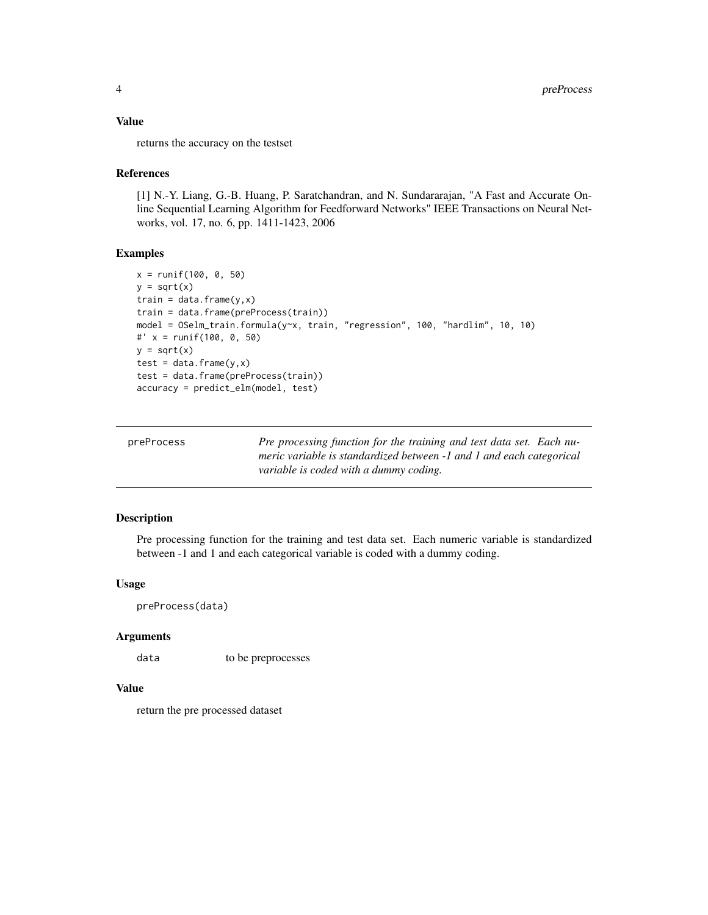#### <span id="page-3-0"></span>Value

returns the accuracy on the testset

#### References

[1] N.-Y. Liang, G.-B. Huang, P. Saratchandran, and N. Sundararajan, "A Fast and Accurate Online Sequential Learning Algorithm for Feedforward Networks" IEEE Transactions on Neural Networks, vol. 17, no. 6, pp. 1411-1423, 2006

#### Examples

```
x = runif(100, 0, 50)y = sqrt(x)train = data-frame(y, x)train = data.frame(preProcess(train))
model = OSelm_train.formula(y~x, train, "regression", 100, "hardlim", 10, 10)
#' x = runif(100, 0, 50)
y = sqrt(x)test = data-frame(y, x)test = data.frame(preProcess(train))
accuracy = predict_elm(model, test)
```

| preProcess | Pre processing function for the training and test data set. Each nu- |
|------------|----------------------------------------------------------------------|
|            | meric variable is standardized between -1 and 1 and each categorical |
|            | variable is coded with a dummy coding.                               |

#### Description

Pre processing function for the training and test data set. Each numeric variable is standardized between -1 and 1 and each categorical variable is coded with a dummy coding.

#### Usage

preProcess(data)

#### Arguments

data to be preprocesses

#### Value

return the pre processed dataset